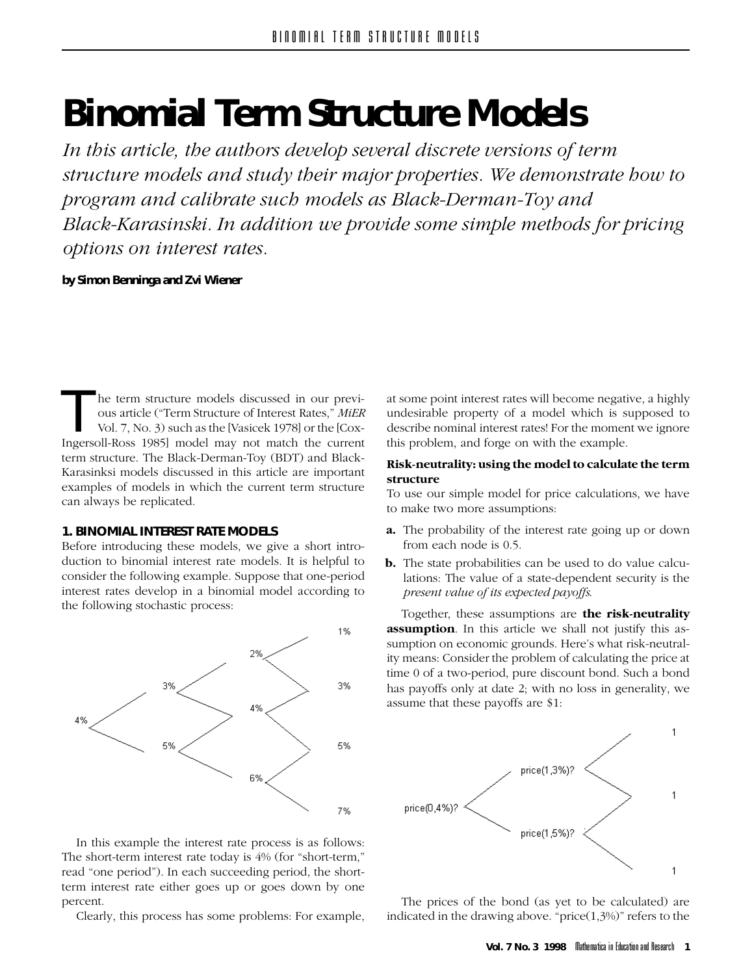# **Binomial Term Structure Models**

*Interatore models and study their major properties. We demonstrate how to program and calibrate such models as Black-Derman-Toy and pack-Karasinski. In addition we provide some simple methods for pricing Black-Karasinski. In addition we provide some simple methods for pricing options on interest rates.*

**by Simon Benninga and Zvi Wiener**

ous article ("Term Structure of Interest Rates," *MiER*<br>Vol. 7, No. 3) such as the [Vasicek 1978] or the [Cox-<br>Ingersoll-Ross 1985] model may not match the current<br>term structure. The Black-Derman-Toy (BDT) and Black-<br>Kara ous article ("Term Structure of Interest Rates," *MiER*  $V(x, y)$  such as the  $\frac{1}{2}$  such  $\frac{1}{2}$  or the  $\frac{1}{2}$  such the  $\frac{1}{2}$ term structure. The Black-Derman-Toy (BDT) and Black-Karasinksi models discussed in this article are important examples of models in which the current term structure  $\frac{1}{2}$  can always be replicated  $\mathbf{r}$ 

# 1. BINOMIAL INTEREST RATE MODELS

Before introducing these models, we give a short introduction to binomial interest rate models. It is helpful to consider the following example. Suppose that one-period interest rates develop in a binomial model according to the following stochastic process:



In this example the interest rate process is as follows:<br>The short-term interest rate today is  $4\%$  (for "short-term," read "one period"). In each succeeding period, the shortread "one period"). In each succeeding period, are shortterm interest rate either goes up or goes down by one percent.<br>Clearly, this process has some problems: For example,

Clearly, this process has some problems: For example,

at some point interest rates will become negative, a highly undesirable property of a model which is supposed to describe nominal interest rates! For the moment we ignore describe nominal interest rates in the moment. We ignore this problem, and forge on with the example.

# **Risk-neutrality: using the model to calculate the term**

To use our simple model for price calculations, we have  $T_{\text{t}}$  and  $T_{\text{t}}$  are  $T_{\text{t}}$  and  $T_{\text{t}}$  and  $T_{\text{t}}$  are  $T_{\text{t}}$ , we have  $T_{\text{t}}$  $\mathbf{r}$ 

- **a.** The probability of the interest rate going up or down from each node is 0.5.
- **b.** The state probabilities can be used to do value calculations: The value of a state-dependent security is the  $\frac{1}{1}$  $p$  *is a constructed i y i expected p i exp*

Together, these assumptions are **the risk-neutrality** sumption on economic grounds. Here's what risk-neutrality means: Consider the problem of calculating the price at time 0 of a two-period, pure discount bond. Such a bond has payoffs only at date 2; with no loss in generality, we has payons  $\frac{1}{2}$  at the 2; with no loss in generativy, we



The prices of the bond (as yet to be calculated) are indicated in the drawing above. "price  $(1,3\%)$ " refers to the indicated in the drawing above. "price(1,3%)" refers to the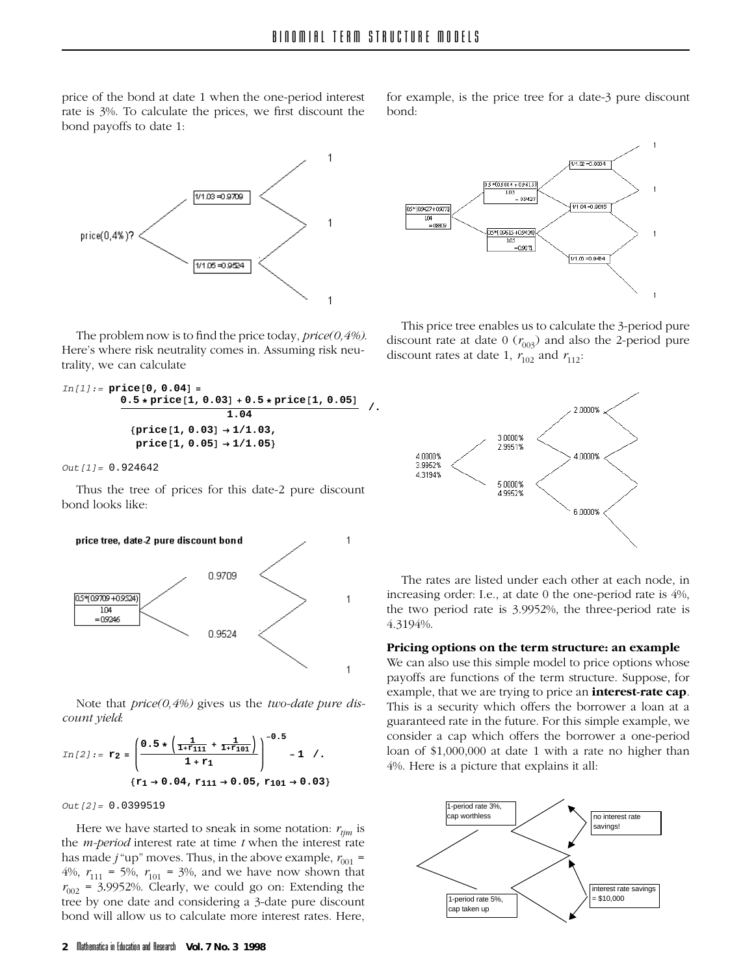price of the bond at date 1 when the one-period interest rate is  $3\%$ . To calculate the prices, we first discount the bond payoffs to date 1.  $\mathbf{P}$ 



The problem now is to find the price today, *price(0,4%)*.<br>Here's where risk neutrality comes in. Assuming risk neu- $H$ erality we can calculate  $\frac{1}{2}$ , we can calculate  $\frac{1}{2}$ 

```
In[1]:= price[0, 0.04] =
           0.5 ∗ price[1, 0.03] + 0.5 ∗ price[1, 0.05]
1.04 /.
            {price[1, 0.03] → 1/1.03,
             price[1, 0.05] → 1/1.05}
```
*Out[1]=* 0.924642

Thus the tree of prices for this date-2 pure discount



Note that *price(0,4%)* gives us the *two-date pure discount yield*:



*Out[2]=* 0.0399519

Here we have started to sneak in some notation:  $r_{ijm}$  is the *m-period* interest rate at time *t* when the interest rate has made  $j$  "up" moves. Thus, in the above example,  $r_{001}$  =  $\frac{100 \text{ m}}{40 \text{ s}} = 50 \text{ s}$   $r = 30 \text{ s}$  and we have now shown that  $r_{002} = 3.9952\%$ . Clearly, we could go on: Extending the tree by one date and considering a 3-date pure discount tree by one date and considering a 3-date pure discount bond will allow us to calculate more interest rates. Here, bond will allow us to calculate more interest rates. Here,



This price tree enables us to calculate the 3-period pure discount rate at date  $0 \left( r_{003} \right)$  and also the 2-period pure discount rates at date  $0 \frac{1}{2}$  and  $r \frac{1}{2}$ discount rates at date 1, *r*102 and *r*112:



The rates are listed under each other at each node, in increasing order: I.e., at date 0 the one-period rate is 4%,  $\frac{1}{2}$  increasing order: I.e., at date  $\frac{1}{2}$  and  $\frac{1}{2}$  the fibre one-period rate is the two period rate is  $5.9952$  w, the three-period rate is  $4.310406$  $\frac{1}{3}$ 

# **Pricing options on the term structure: an example**

payoffs are functions of the term structure. Suppose, for example, that we are trying to price an **interest-rate cap**. This is a security which offers the borrower a loan at a guaranteed rate in the future. For this simple example, we consider a cap which offers the borrower a one-period loan of  $$1,000,000$  at date 1 with a rate no higher than  $\frac{1}{406}$  Here is a nicture that evolains it all.  $\mathbf{f}$ 

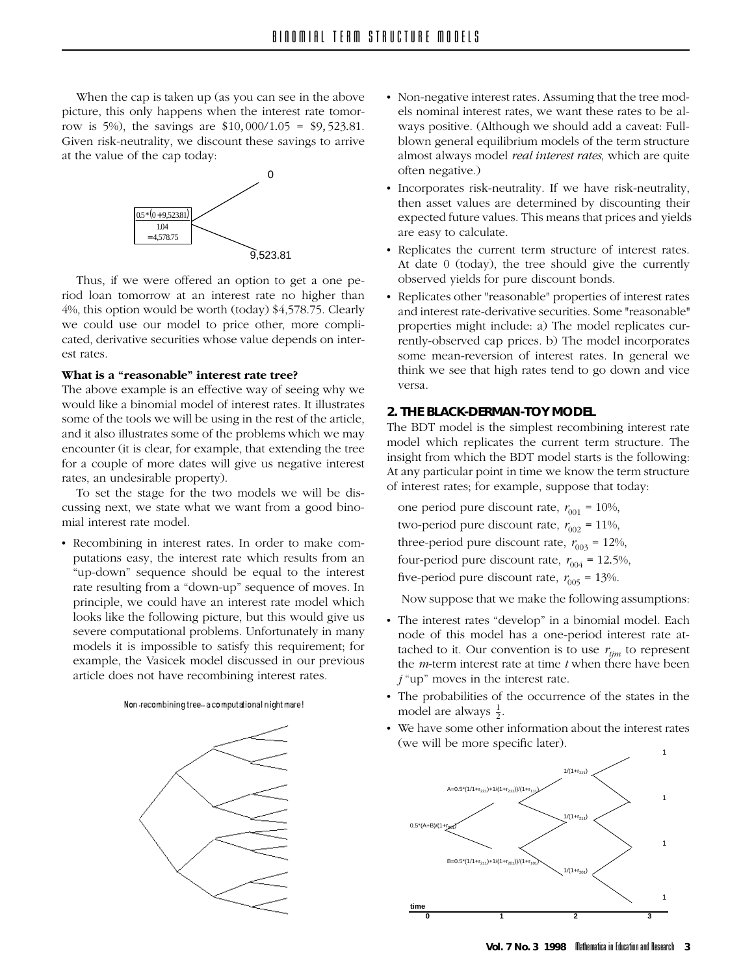When the cap is taken up (as you can see in the above picture, this only happens when the interest rate tomor-Figure, the interest rate of  $\frac{1}{2}$  respectively. The savings are \$10*,* 000/1.05 = \$9*,* 523.81.  $\alpha$  risk-neutrality, we discount the same same same satisfactor  $\beta$ 



Thus, if we were offered an option to get a one pe-<br>riod loan tomorrow at an interest rate no higher than  $4\%$ , this option would be worth (today) \$4,578.75. Clearly we could use our model to price other, more compli- $\sim$  could use our model to price other, more complicated, derivative securities whose value depends on inter-

# What is a "reasonable" interest rate tree?

The above example is an effective way of seeing why we would like a binomial model of interest rates. It illustrates some of the tools we will be using in the rest of the article, and it also illustrates some of the problems which we may encounter (it is clear, for example, that extending the tree for a couple of more dates will give us negative interest rates, an undesirable property).

To set the stage for the two models we will be discussing next, we state what we want from a good binomial interest rate model.

• Recombining in interest rates. In order to make computations easy, the interest rate which results from an "up-down" sequence should be equal to the interest rate resulting from a "down-up" sequence of moves. In principle, we could have an interest rate model which looks like the following picture, but this would give us severe computational problems. Unfortunately in many models it is impossible to satisfy this requirement; for example, the Vasicek model discussed in our previous article does not have recombining interest rates.  $\sigma$ 





- Non-negative interest rates. Assuming that the tree mod-<br>els nominal interest rates, we want these rates to be always positive. (Although we should add a caveat: Fullblown general equilibrium models of the term structure almost always model *real interest rates*, which are quite often negative.)
- Incorporates risk-neutrality. If we have risk-neutrality, then asset values are determined by discounting their expected future values. This means that prices and yields are easy to calculate.
- Replicates the current term structure of interest rates. At date  $0$  (today), the tree should give the currently observed yields for pure discount bonds.
- Replicates other "reasonable" properties of interest rates and interest rate-derivative securities. Some "reasonable" properties might include: a) The model replicates currently-observed cap prices. b) The model incorporates some mean-reversion of interest rates. In general we think we see that high rates tend to go down and vice think we see that high rates tend to go down and vice

**2. THE BLACK-DERMAN-TOY MODEL** model which replicates the current term structure. The insight from which the BDT model starts is the following. At any particular point in time we know the term structure At any particular point in time we have the term structure of interest rates; for example, suppose that today:

one period pure discount rate,  $r_{001} = 10\%$ , two-period pure discount rate,  $r_{002} = 11\%$ , three-period pure discount rate,  $r_{003} = 12\%$ , four-period pure discount rate,  $r_{004} = 12.5\%$ , five-period pure discount rate,  $r_{005} = 13\%$ .

Now suppose that we make the following assumptions:<br>• The interest rates "develop" in a binomial model. Each

- node of this model has a one-period interest rate attached to it. Our convention is to use  $r_{\text{tim}}$  to represent the *m*-term interest rate at time *t* when there have been  $i$  "up" moves in the interest rate.
- The probabilities of the occurrence of the states in the  $\frac{1}{\text{model}}$  are always  $\frac{1}{\text{model}}$ model are always  $\frac{1}{2}$
- We have some other information about the interest rates (we will be more specific later).

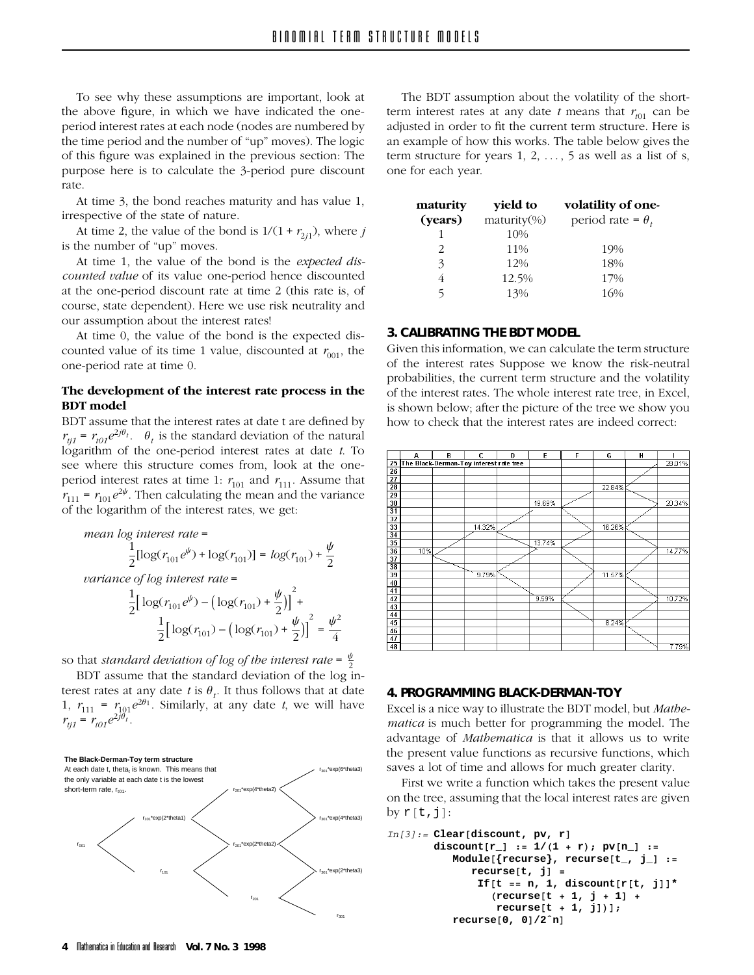To see why these assumptions are important, look at period interest rates at each node (nodes are numbered by the time period and the number of "up" moves). The logic of this figure was explained in the previous section: The purpose here is to calculate the 3-period pure discount  $p$  purpose here is to calculate the  $3-$ period pure discount  $p$ rate.<br>At time 3, the bond reaches maturity and has value 1,

irrespective of the state of nature.

At time 2, the value of the bond is  $1/(1 + r_{2j1})$ , where *j* is the number of "up" moves.<br>At time 1, the value of the bond is the *expected dis*-

counted value of its value one-period hence discounted at the one-period discount rate at time 2 (this rate is, of course, state dependent). Here we use risk neutrality and our assumption about the interest rates!

At time 0, the value of the bond is the expected discounted value of its time 1 value, discounted at  $r_{001}$ , the conted value of *counter*  $\frac{1}{2}$  value of  $\frac{1}{2}$  value,  $\frac{1}{2}$   $\frac{1}{2}$   $\frac{1}{2}$   $\frac{1}{2}$   $\frac{1}{2}$   $\frac{1}{2}$   $\frac{1}{2}$   $\frac{1}{2}$   $\frac{1}{2}$   $\frac{1}{2}$   $\frac{1}{2}$   $\frac{1}{2}$   $\frac{1}{2}$   $\frac{1}{2}$   $\frac{1}{2}$   $\frac{1}{2}$  one-period rate at time 0.

# **The development of the interest rate process in the**

BDT assume that the interest rates at date t are defined by  $r_{ti1} = r_{i01}e^{2j\theta_t}$ .  $\theta_t$  is the standard deviation of the natural *logarithm* of the one-period interest rates at date *t*. To see where this structure comes from, look at the oneperiod interest rates at time 1:  $r_{101}$  and  $r_{111}$ . Assume that  $\begin{bmatrix} r & r \end{bmatrix}$   $= r \begin{bmatrix} 2\psi & r \end{bmatrix}$ . Then calculating the mean and the variance  $r_{111} = r_{101}e^{2\tau}$ . Then calculating the mean and the variance<br>of the logarithm of the interest rates, we get  $\sigma$  the interest rates, we get:

mean log interest rate =  
\n
$$
\frac{1}{2}[\log(r_{101}e^{\psi}) + \log(r_{101})] = \log(r_{101}) + \frac{\psi}{2}
$$
\nvariance of log interest rate =  
\n
$$
\frac{1}{2} [\log(r_{101}e^{\psi}) - (\log(r_{101}) + \frac{\psi}{2})]^{2} + \frac{1}{2} [\log(r_{101}) - (\log(r_{101}) + \frac{\psi}{2})]^{2} = \frac{\psi^{2}}{4}
$$

so that *standard deviation of log of the interest rate* =  $\frac{\psi}{2}$ 

BDT assume that the standard deviation of the log interest rates at any date t is  $\theta_t$ . It thus follows that at date  $\int r = r e^{2\theta_1}$  Similarly at any date *t* we will have 1,  $r_{111} = r_{101}e^{-t}$ . Similarly, at any date *t*, we will have  $r_{tj1} = r_{t01}e^{2j\theta_t}$ .



The BDT assumption about the volatility of the short-<br>term interest rates at any date t means that  $r_{00}$  can be adjusted in order to fit the current term structure. Here is an example of how this works. The table below gives the term structure for years 1, 2,  $\dots$ , 5 as well as a list of s, one for each year. one for each year.

| maturity | yield to      | volatility of one-       |
|----------|---------------|--------------------------|
| (years)  | $matrix(\% )$ | period rate = $\theta_t$ |
| 1        | 10%           |                          |
| 2        | 11%           | 19%                      |
| 3        | 12%           | 18%                      |
|          | 12.5%         | 17%                      |
| 5        | 13%           | 16%                      |
|          |               |                          |

# 3. CALIBRATING THE BDT MODEL

**3.** Given this information, we can calculate the term structure of the interest rates Suppose we know the risk-neutral probabilities, the current term structure and the volatility of the interest rates. The whole interest rate tree, in Excel, is shown below; after the picture of the tree we show you how to check that the interest rates are indeed correct:



### 4. PROGRAMMING BLACK-DERMAN-TOY

Excel is a nice way to illustrate the BDT model, but Mathematica is much better for programming the model. The advantage of *Mathematica* is that it allows us to write the present value functions as recursive functions, which saves a lot of time and allows for much greater clarity.

First we write a function which takes the present value  $\frac{1}{1}$  the tree, assuming that the local interest rates are given  $\frac{1}{2}$  that the tree trees, assuming that the local interest rates are given by  $\frac{1}{2}$ by  $r[t,j]$ :

```
In[3]:= Clear[discount, pv, r]
       discount[r_] := 1/(1 + r); pv[n_] :=
          Module[{recurse}, recurse[t_, j_] :=
             recurse[t, j] =
              If[t == n, 1, discount[r[t, j]]*
                 (recurse[t + 1, j + 1] +
                 recurse[t + 1, j])];
          recurse[0, 0]/2ˆn]
```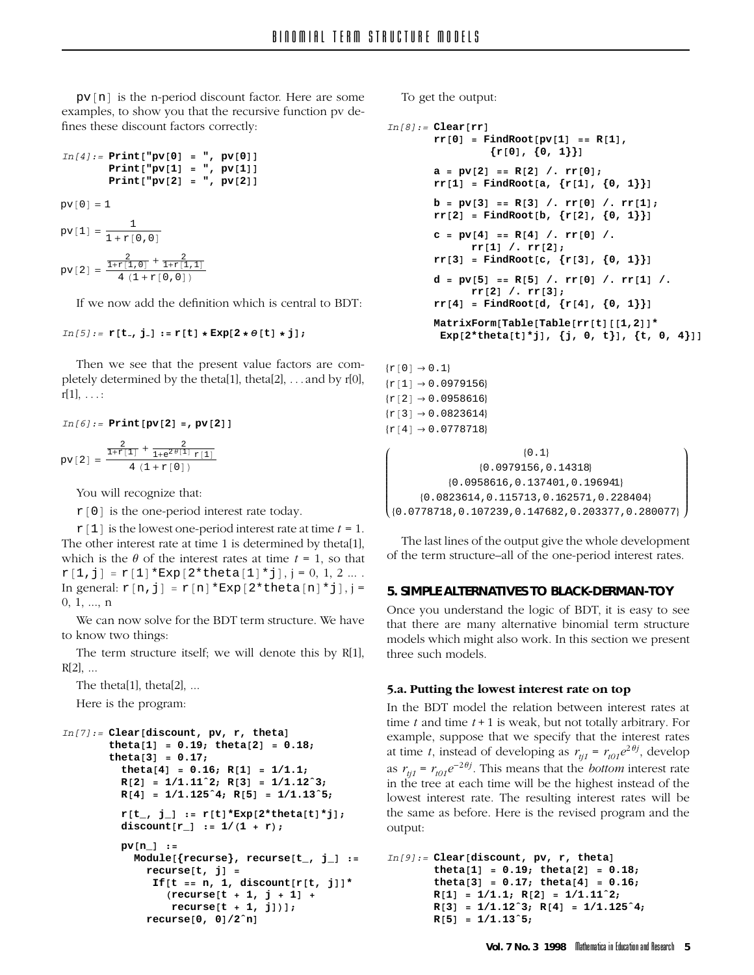pv[n] is the n-period discount factor. Here are some examples, to show you that the recursive function pv defines these discount factors correctly: fines these discount factors correctly:

```
In[4]:= Print["pv[0] = ", pv[0]]
           Print["pv[1] = ", pv[1]]
          Print["pv[2] = ", pv[2]]
pv[0] = 1pv[1] = \frac{1}{1 + r[0, 0]}pv[2] = \frac{\frac{2}{1+r[1,0]} + \frac{2}{1+r[1,1]}}{4(1+r[0,0])}4(1+r[0,0])
```
### *In[5]:=* **<sup>r</sup>[<sup>t</sup> , <sup>j</sup> ] := <sup>r</sup>[t] <sup>∗</sup> Exp[<sup>2</sup> <sup>∗</sup> θ[t] <sup>∗</sup> <sup>j</sup>];**

 $T_{\text{total}}$  and by seeming that the present in the present value for  $r_{\text{total}}$ pletely determined by the theta[1], theta[2], . . . and by r[0], r[1], . . . :

$$
In [6]: = \text{Print}[pv[2] = , pv[2]]
$$
\n
$$
pv[2] = \frac{\frac{2}{1+r[1]} + \frac{2}{1+e^{2\theta[1]}r[1]}}{4(1+r[0])}
$$

 $r[0]$  is the one-period interest rate today.

 $r[1]$  is the lowest one-period interest rate at time *t* = 1.<br>The other interest rate at time 1 is determined by theta[1], which is the  $\theta$  of the interest rates at time  $t = 1$ , so that  $r[1,j] = r[1]*Exp[2*thet[1]*j], j = 0, 1, 2 ...$ <br>In general  $r[n,i] = r[n]*Exp[2*thet[2]*hat[n]*j]$ In general:  $r[n,j] = r[n]*Exp[2*theta[n]*j], j = 0, 1, ..., n$ 

We can now solve for the BDT term structure. We have to know two things:

The term structure itself; we will denote this by  $R[1]$ , The term structure itself; we will denote this by R[1],  $R[2]$ , ...<br>The theta[1], theta[2], ...

 $T \t\t\t t \t\t d$  $\mathbf{F}$  is the property of property of  $\mathbf{F}$ 

```
In[7]:= Clear[discount, pv, r, theta]
       theta[1] = 0.19; theta[2] = 0.18;
       theta[3] = 0.17;
         theta[4] = 0.16; R[1] = 1/1.1;
         R[2] = 1/1.11ˆ2; R[3] = 1/1.12ˆ3;
         R[4] = 1/1.125ˆ4; R[5] = 1/1.13ˆ5;
         r[t_, j_] := r[t]*Exp[2*theta[t]*j];
         discount[r_] := 1/(1 + r);
         pv[n_] :=
           Module[{recurse}, recurse[t_, j_] :=
             recurse[t, j] =
              If[t == n, 1, discount[r[t, j]]*
                 (recurse[t + 1, j + 1] +
                 recurse[t + 1, j])];
             recurse[0, 0]/2ˆn]
```
 $\sum_{i=1}^{n}$ 

```
In[8]:= Clear[rr]
       rr[0] = FindRoot[pv[1] == R[1],
                {r[0], {0, 1}}]
       a = pv[2] == R[2] /. rr[0];
       rr[1] = FindRoot[a, {r[1], {0, 1}}]
       b = pv[3] == R[3] /. rr[0] /. rr[1];
       rr[2] = FindRoot[b, {r[2], {0, 1}}]
       c = pv[4] == R[4] /. rr[0] /.
             rr[1] /. rr[2];
       rr[3] = FindRoot[c, {r[3], {0, 1}}]
       d = pv[5] == R[5] /. rr[0] /. rr[1] /.
             rr[2] /. rr[3];
       rr[4] = FindRoot[d, {r[4], {0, 1}}]
       MatrixForm[Table[Table[rr[t][[1,2]]*
        Exp[2*theta[t]*j], {j, 0, t}], {t, 0, 4}]]
```
 $\{r[0] \to 0.1\}$  $\{r[1] \rightarrow 0.0979156\}$  $\{r[2] \rightarrow 0.0958616\}$  $\{r[3] \rightarrow 0.0823614\}$  ${x[4] \rightarrow 0.0778718}$ 

```
Ê
Á
Á
Á
Á
Á
Á
Á
Á
Á
{0.0823614,0.115713,0.162571,0.228404}<br>{0.0778718,0.107239,0.147682,0.203377,0.280077}
                                         {0.1}{0.0979156,0.14318}
                  {0.0958616,0.137401,0.196941}
         {0.0823614,0.115713,0.162571,0.228404}
                                                                                          ˆ
                                                                                          ˜
                                                                                          \overline{\phantom{a}}˜
                                                                                          ˜
                                                                                          \overline{\phantom{a}}˜
                                                                                          ˜
                                                                                          \overline{\phantom{a}}˜
                                                                                          ˜
˜
˜
˜
```
 $T$  the term structure all of the one-period interest rates  $\mathbf{r}$  the term structure–all of the one-period interest rates.

### 5. SIMPLE ALTERNATIVES TO BLACK-DERMAN-TOY

**5.** Once you understand the logic of BDT, it is easy to see that there are many alternative binomial term structure models which might also work. In this section we present three such models.

**5.a. Putting the lowest interest rate on top** time  $t$  and time  $t + 1$  is weak, but not totally arbitrary. For example, suppose that we specify that the interest rates at time t, instead of developing as  $r_{ii} = r_{i0}e^{2\theta j}$ , develop at time *t*, instead of developing as  $r_{ij1} = r_{i01}e^{-y}$ , develop as  $r_{ij1} = r_{i01}e^{-\gamma}$ <br>in the tree at ea in the tree at each time will be the highest instead of the lowest interest rate. The resulting interest rates will be rest interest rate. The resulting interest rates will be the same as before. Here is the revised program and the output:

```
In[9]:= Clear[discount, pv, r, theta]
       theta[1] = 0.19; theta[2] = 0.18;
       theta[3] = 0.17; theta[4] = 0.16;
       R[1] = 1/1.1; R[2] = 1/1.11ˆ2;
       R[3] = 1/1.12ˆ3; R[4] = 1/1.125ˆ4;
       R[5] = 1/1.13ˆ5;
```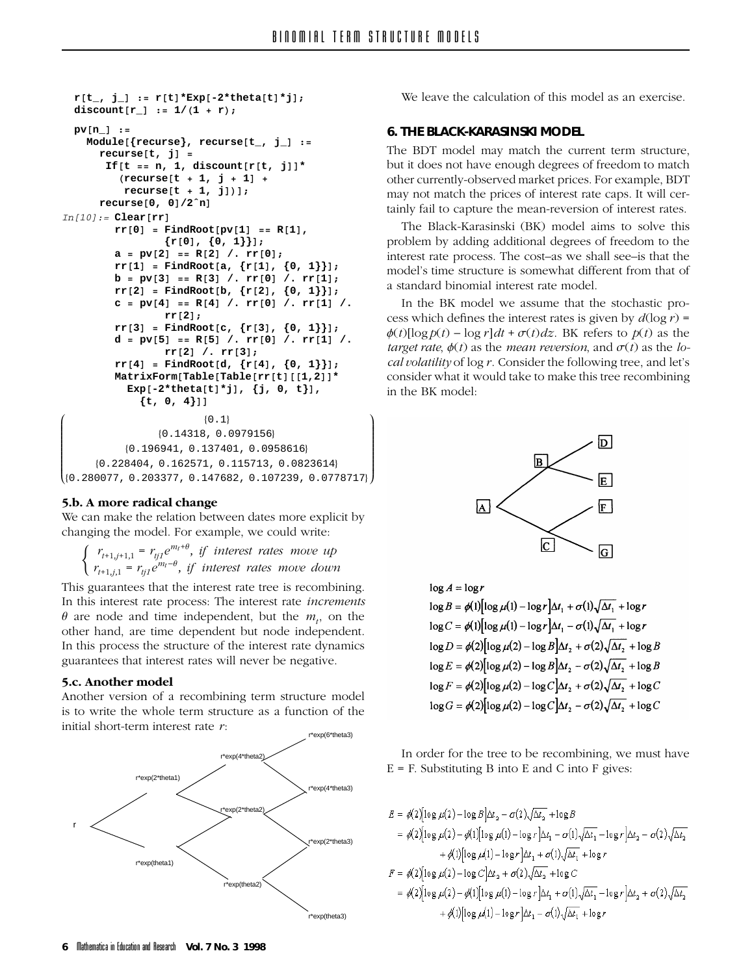ˆ  $\mathbf i$  $\overline{\phantom{a}}$  $\overline{\phantom{a}}$  $\mathbf i$  $\overline{\phantom{a}}$  $\overline{\phantom{a}}$  $\mathbf i$  $\overline{\phantom{a}}$  $\overline{\phantom{a}}$  $\mathbf i$ 

```
r[t_, j_] := r[t]*Exp[-2*theta[t]*j];
  discount[r_] := 1/(1 + r);
  pv[n_] :=
    Module[{recurse}, recurse[t_, j_] :=
      recurse[t, j] =
       If[t == n, 1, discount[r[t, j]]*
          (recurse[t + 1, j + 1] +
          recurse[t + 1, j])];
      recurse[0, 0]/2ˆn]
In[10]:= Clear[rr]
         rr[0] = FindRoot[pv[1] == R[1],
                  {r[0], {0, 1}}];
         a = pv[2] == R[2] /. rr[0];
         rr[1] = FindRoot[a, {r[1], {0, 1}}];
         b = pv[3] == R[3] /. rr[0] /. rr[1];
         rr[2] = FindRoot[b, {r[2], {0, 1}}];
         c = pv[4] == R[4] /. rr[0] /. rr[1] /.
                  rr[2];
         rr[3] = FindRoot[c, {r[3], {0, 1}}];
         d = pv[5] == R[5] /. rr[0] /. rr[1] /.
                  rr[2] /. rr[3];
         rr[4] = FindRoot[d, {r[4], {0, 1}}];
         MatrixForm[Table[Table[rr[t][[1,2]]*
           Exp[-2*theta[t]*j], {j, 0, t}],
             {t, 0, 4}]]
Ê
Á
Á
Á
Á
Á
Á
Á
Á
Á
\left( \begin{smallmatrix} \{0.228404\,,\,0.162571\,,\,0.115713\,,\,0.0823614\} \ \end{smallmatrix} \right){0.1}{0.14318, 0.0979156}
           {0.196941, 0.137401, 0.0958616}
      {0.228404, 0.162571, 0.115713, 0.0823614}
```
**5.b. A more radical change** changing the model. For example, we could write:

 $\epsilon$  could write:  $\begin{cases} r_{t+1,j+1,1} = r_{tj1}e^{m_t+\theta}, \text{ if interest rates move up} \\ r_{t+1,j,1} = r_{tj1}e^{m_t-\theta}, \text{ if interest rates move down} \end{cases}$  $r_{t+1,j,1} = r_{tj1}e^{m_t-\theta}$ , *if interest rates move down* 

This guarantees that the interest rate tree is recombining.<br>In this interest rate process: The interest rate *increments*  $\theta$  are node and time independent, but the  $m_t$ , on the other hand, are time dependent but node independent. In this process the structure of the interest rate dynamics  $\frac{1}{1}$  and  $\frac{1}{1}$  the structure of the structure of the interest rates will never be negative  $\delta$ 

**5.c. Another model** is to write the whole term structure as a function of the initial short-term interest rate  $r$ :



**6. THE BLACK-KARASINSKI MODEL** but it does not have enough degrees of freedom to match other currently-observed market prices. For example, BDT may not match the prices of interest rate caps. It will certainly fail to capture the mean-reversion of interest rates.

The Black-Karasinski (BK) model aims to solve this problem by adding additional degrees of freedom to the interest rate process. The cost-as we shall see-is that the model's time structure is somewhat different from that of a standard binomial interest rate model.

In the BK model we assume that the stochastic process which defines the interest rates is given by  $d(\log r)$  =  $\phi(t)$ [log  $p(t)$  – log r]dt +  $\sigma(t)$ dz. BK refers to  $p(t)$  as the *target rate,*  $\phi(t)$  as the *mean reversion,* and  $\sigma(t)$  as the *local volatility* of  $\log r$ . Consider the following tree, and let's *consider what it would take to make this tree recombining* in the BK model:



 $\log A = \log r$  $\log B = \phi(1) \left[ \log \mu(1) - \log r \right] \Delta t_1 + \sigma(1) \sqrt{\Delta t_1} + \log r$  $\log C = \phi(1) \left[ \log \mu(1) - \log r \right] \Delta t_1 - \sigma(1) \sqrt{\Delta t_1} + \log r$  $\log D = \phi(2) \log \mu(2) - \log B \Delta t_1 + \sigma(2) \sqrt{\Delta t_1} + \log B$  $\log E = \phi(2) \log \mu(2) - \log B \Delta t_2 - \sigma(2) \sqrt{\Delta t_2} + \log B$  $\log F = \phi(2) \log \mu(2) - \log C \Delta t$ , +  $\sigma(2) \sqrt{\Delta t}$ , +  $\log C$  $\log G = \phi(2) \log \mu(2) - \log C \Delta t_2 - \sigma(2) \sqrt{\Delta t_2} + \log C$ 

In order for the tree to be recombining, we must have  $E = F$ . Substituting B into E and C into F gives:  $E = \frac{1}{2}$  is the substituting  $E = \frac{1}{2}$  and  $E = \frac{1}{2}$  and  $E = \frac{1}{2}$ 

$$
E = \phi(2) \left[ \log \mu(2) - \log B \right] \Delta t_2 - \sigma(2) \sqrt{\Delta t_2} + \log B
$$
  
\n
$$
= \phi(2) \left[ \log \mu(2) - \phi(1) \right] \left[ \log \mu(1) - \log r \right] \Delta t_1 - \sigma(1) \sqrt{\Delta t_1} - \log r \right] \Delta t_2 - \sigma(2) \sqrt{\Delta t_2}
$$
  
\n
$$
+ \phi(1) \left[ \log \mu(1) - \log r \right] \Delta t_1 + \sigma(1) \sqrt{\Delta t_1} + \log r
$$
  
\n
$$
F = \phi(2) \left[ \log \mu(2) - \log C \right] \Delta t_2 + \sigma(2) \sqrt{\Delta t_2} + \log C
$$
  
\n
$$
= \phi(2) \left[ \log \mu(2) - \phi(1) \right] \left[ \log \mu(1) - \log r \right] \Delta t_1 + \sigma(1) \sqrt{\Delta t_1} - \log r \right] \Delta t_2 + \sigma(2) \sqrt{\Delta t_2}
$$
  
\n
$$
+ \phi(1) \left[ \log \mu(1) - \log r \right] \Delta t_1 - \sigma(1) \sqrt{\Delta t_1} + \log r
$$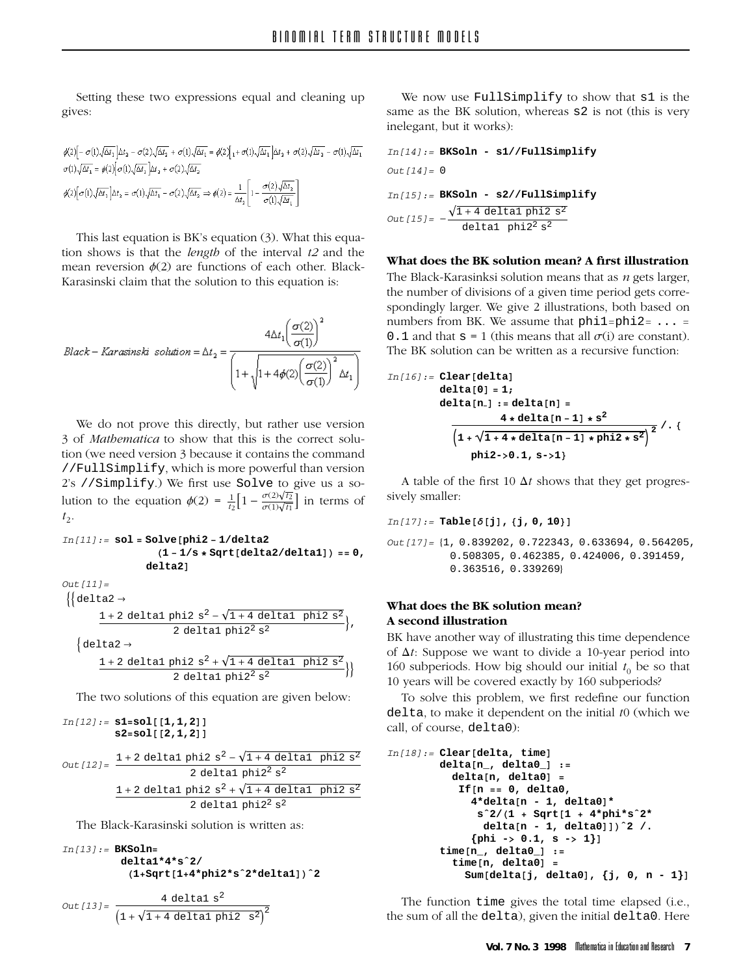Setting these two expressions equal and cleaning up  $\overline{\phantom{0}}$ 

$$
\begin{split} &\phi(2)\Big[-\,\sigma(1)\sqrt{\Delta t_1}\,\Big]\Delta t_2\,-\,\sigma(2)\sqrt{\Delta t_2}\,+\,\sigma(1)\sqrt{\Delta t_1}=\phi(2)\Big\{{}_1+\sigma(1)\sqrt{\Delta t_1}\,\Big]\Delta t_2\,+\,\sigma(2)\sqrt{\Delta t_2}\,-\,\sigma(1)\sqrt{\Delta t_1}\\ &\sigma(1)\sqrt{\Delta t_1}\,=\phi(2)\Big[\,\sigma(1)\sqrt{\Delta t_1}\,\Big]\Delta t_2\,+\,\sigma(2)\sqrt{\Delta t_2}\\ &\phi(2)\Big[\,\sigma(1)\sqrt{\Delta t_1}\,\Big]\Delta t_2\,=\,\sigma(1)\sqrt{\Delta t_1}\,-\,\sigma(2)\sqrt{\Delta t_2}\,\Rightarrow\phi(2)=\frac{1}{\Delta t_2}\Big[\,1-\frac{\sigma(2)\sqrt{\Delta t_2}}{\sigma(1)\sqrt{\Delta t_1}}\Big] \end{split}
$$

This last equation is BK's equation (3). What this equation shows is that the *length* of the interval  $t2$  and the mean reversion  $\phi(2)$  are functions of each other. Blackmean reversion  $\phi(z)$  are remember of each other mass.<br>Karasinski claim that the solution to this equation is: Karasinski claim that the solution to this equation is:

$$
Black-Karasinski \; solution = \Delta t_2 = \frac{4 \Delta t_1 \left(\frac{\sigma(2)}{\sigma(1)}\right)^2}{\left(1 + \sqrt{1 + 4 \phi(2) \left(\frac{\sigma(2)}{\sigma(1)}\right)^2 \Delta t_1}\right)}
$$

We do not prove this directly, but rather use version 3 of *Mathematica* to show that this is the correct solution (we need version 3 because it contains the command  $t$ /FullSimplify, which is more powerful than version  $T_s$  //Simplify, We first use Solve to give us a so-2's //Simplify.) We first use Solve to give us a solution to the equation  $\phi(2) = \frac{1}{t_2} \Big[ 1 - \frac{\sigma(2)\sqrt{t_2}}{\sigma(1)\sqrt{t_1}} \Big]$  in terms of  $t_{2}$ .

$$
\begin{aligned} \text{In[11]:} = \text{sol} = \text{Solve}[\text{phi2 - 1/delta2} \\ (1 - 1/\text{s} * \text{Sqrt[delta2/deltal])} =& 0, \\ &\text{delta2}] \end{aligned}
$$

$$
\left\{ \begin{aligned} &\text{Out[11]=} \\ &\left\{ \begin{aligned} &\text{delta2}\rightarrow \\ &\text{1+2 delta1 phi2 s^2 - \sqrt{1+4 delta1 phi2 s^2} \\ &\text{2 delta1 phi2^2 s^2} \end{aligned} \right\}, \\ &\left\{ \begin{aligned} &\text{delta2}\rightarrow \\ &\text{1+2 delta1 phi2 s^2 + \sqrt{1+4 delta1 phi2 s^2} \\ &\text{2 delta1 phi2^2 s^2} \end{aligned} \right\} \right\}
$$

The two solutions of this equation are given below:

$$
In [12]: = \text{sl} = \text{sol}[[1,1,2]]
$$
\n
$$
s2 = \text{sol}[[2,1,2]]
$$
\n
$$
Out [12] = \frac{1+2 \text{ delta1 phi2 s}^2 - \sqrt{1+4 \text{ delta1 phi2 s}^2}}{2 \text{ delta1 phi2 s}^2}
$$
\n
$$
\frac{1+2 \text{ delta1 phi2 s}^2 + \sqrt{1+4 \text{ delta1 phi2 s}^2}}{2 \text{ delta1 phi2 s}^2}
$$

$$
In[13]:= BKSoln=\n delta1*4*s^2/\n (1+Sqrt[1+4*phi2*s^2*delta1a1])^2
$$

$$
Out[13] = \frac{4 \text{ delta1 s}^2}{\left(1 + \sqrt{1 + 4 \text{ delta1 phi2 s}^2}\right)^2}
$$

We now use FullSimplify to show that  $s1$  is the same as the BK solution, whereas s2 is not (this is very inelegant, but it works):  $\epsilon$ <sup>inel</sup>, but it works):

$$
In[14]: = BKSoln - s1/FullSimplify
$$
  
Out[14]: = 0  

$$
In[15]: = BKSoln - s2/FullSimplify
$$
  
Out[15]: =  $-\frac{\sqrt{1+4 \text{ delta 1 phi 2 s^2}}}{\text{delta 1 phi 2 s^2}}$ 

### What does the BK solution mean? A first illustration

The Black-Karasinksi solution means that as  $n$  gets larger, the number of divisions of a given time period gets correspondingly larger. We give 2 illustrations, both based on numbers from BK. We assume that  $phi1=phi2=...$  = 0. 1 and that  $s = 1$  (this means that all  $\sigma(i)$  are constant) 0.1 and that  $s = 1$  (this means that all  $\sigma(i)$  are constant).<br>The BK solution can be written as a recursive function:

$$
In[16]:= Clear[delta]
$$
\n
$$
delta[0] = 1;
$$
\n
$$
delta[n.] := delta[n] =
$$
\n
$$
4 * delta[n-1] * s^{2}
$$
\n
$$
(1 + \sqrt{1 + 4 * delta[n-1] * phi2 * s^{2}})^{2} / \cdot \{
$$
\n
$$
phi2 \rightarrow 0.1, s \rightarrow 1\}
$$

A table of the first 10  $\Delta t$  shows that they get progres-<br>sively smaller: sively smaller:

*In[17]:=* **Table[δ[j], {j, 0, <sup>10</sup>}]**

```
Out[17]= {1, 0.839202, 0.722343, 0.633694, 0.564205,
          0.508305, 0.462385, 0.424006, 0.391459,
          0.363516, 0.339269}
```
# **What does the BK solution mean?**

BK have another way of illustrating this time dependence of  $\Delta t$ : Suppose we want to divide a 10-year period into 160 subperiods. How big should our initial  $t_0$  be so that 10 years will be covered exactly by 160 subperiods?

To solve this problem, we first redefine our function delta, to make it dependent on the initial  $t_0$  (which we call of course delta). call, of course, delta0):

```
In[18]:= Clear[delta, time]
        delta[n_, delta0_] :=
          delta[n, delta0] =
           If[n == 0, delta0,
              4*delta[n - 1, delta0]*
              sˆ2/(1 + Sqrt[1 + 4*phi*sˆ2*
               delta[n - 1, delta0]])ˆ2 /.
              {phi -> 0.1, s -> 1}]
        time[n_, delta0_] :=
          time[n, delta0] =
            Sum[delta[j, delta0], {j, 0, n - 1}]
```
The function time gives the total time elapsed (i.e., the sum of all the delta), given the initial delta0. Here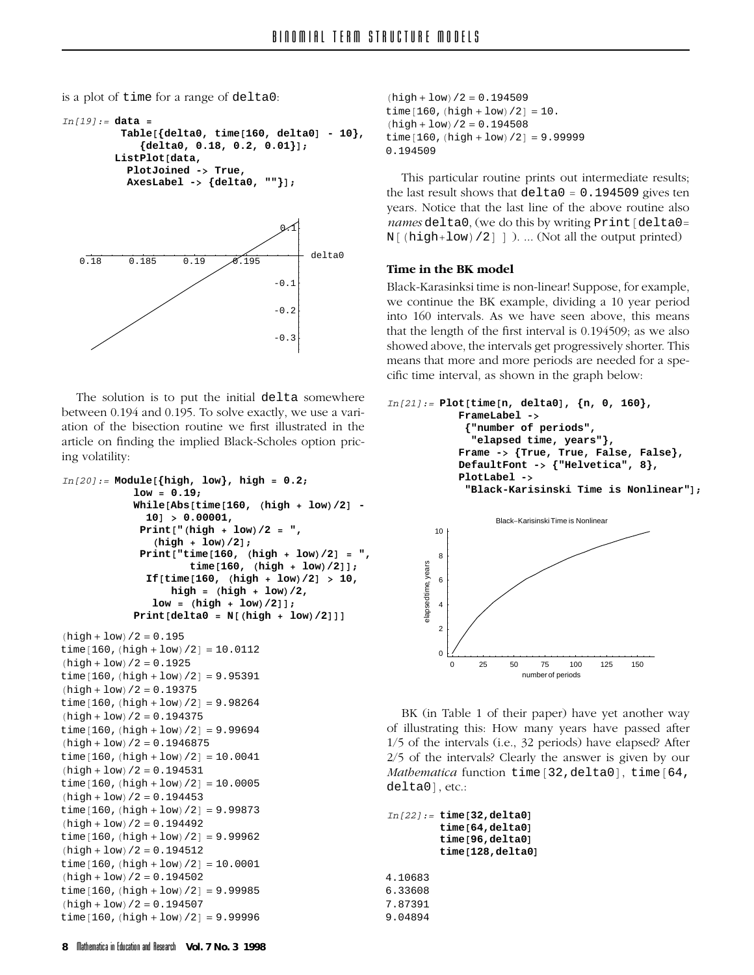is a plot of time for a range of delta0:

```
In[19]:= data =
         Table[{delta0, time[160, delta0] - 10},
             {delta0, 0.18, 0.2, 0.01}];
        ListPlot[data,
          PlotJoined -> True,
          AxesLabel -> {delta0, ""}];
```


The solution is to put the initial delta somewhere between 0.194 and 0.195. To solve exactly, we use a variation of the bisection routine we first illustrated in the  $\alpha$  article on finding the implied Black-Scholes option pric- $\frac{1}{2}$  individually the implicit  $\frac{1}{2}$ ing volatility:

```
In[20]:= Module[{high, low}, high = 0.2;
            low = 0.19;
            While[Abs[time[160, (high + low)/2] -
              10] > 0.00001,
             Print["(high + low)/2 = ",
               (high + low)/2];
             Print["time[160, (high + low)/2] = ",
                     time[160, (high + low)/2]];
              If[time[160, (high + low)/2] > 10,
                  high = (high + low)/2,
               low = (high + low)/2]];
            Print[delta0 = N[(high + low)/2]]]
(high + low)/2 = 0.195time[160, (high + low)/2] = 10.0112(high + low)/2 = 0.1925time[160, (high + low)/2] = 9.95391(high + low)/2 = 0.19375time[160, (high + low)/2] = 9.98264(high + low)/2 = 0.194375time[160, (high + low)/2] = 9.99694(high + low)/2 = 0.1946875time[160, (high + low)/2] = 10.0041(high + low)/2 = 0.194531time[160, (high + low)/2] = 10.0005(high + low)/2 = 0.194453time[160, (high + low)/2] = 9.99873(high + low)/2 = 0.194492time[160, (high + low)/2] = 9.99962(high + low)/2 = 0.194512time[160, (high + low)/2] = 10.0001(high + low)/2 = 0.194502time[160, (high + low)/2] = 9.99985
```

```
(high + low)/2 = 0.194509time[160, (high + low)/2] = 10.
(high + low)/2 = 0.194508time[160, (high + low)/2] = 9.999990.194509
```
the last result shows that  $delta = 0.194509$  gives ten names delta0, (we do this by writing Print [delta0=<br>*N*[(bigh+low)(211) (Not all the output printed)  $N[$  (high+low) /2] ] ). ... (Not all the output printed)

### Time in the BK model

**Black-Karasinksi time is non-linear! Suppose, for example,** we continue the BK example, dividing a 10 year period into 160 intervals. As we have seen above, this means that the length of the first interval is  $0.194509$ ; as we also showed above, the intervals get progressively shorter. This means that more and more periods are needed for a spemeans that more and more periods are needed for a spe-<br>cific time interval as shown in the graph below. cific time interval, as shown in the graph below:

```
In[21]:= Plot[time[n, delta0], {n, 0, 160},
             FrameLabel ->
               {"number of periods",
                "elapsed time, years"},
             Frame -> {True, True, False, False},
             DefaultFont -> {"Helvetica", 8},
             PlotLabel ->
               "Black-Karisinski Time is Nonlinear"];
                    Black-Karisinski Time is Nonlinear
         10
         8
      elapsedtime, years
       elapsedtime, years
         6
         4
         2
         0
            0 25 50 75 100 125 150
```
BK (in Table 1 of their paper) have yet another way of illustrating this: How many years have passed after  $1/5$  of the intervals (i.e., 32 periods) have elapsed? After  $2/5$  of the intervals? Clearly the answer is given by our *Mathematica* function time[32,delta0], time[64, delta0], etc.:

number of periods

```
In[22]:= time[32,delta0]
         time[64,delta0]
         time[96,delta0]
         time[128,delta0]
4.10683
6.33608
7.87391
9.04894
```
time $[160, (high + low)/2] = 9.99996$ 

 $(high + low)/2 = 0.194507$